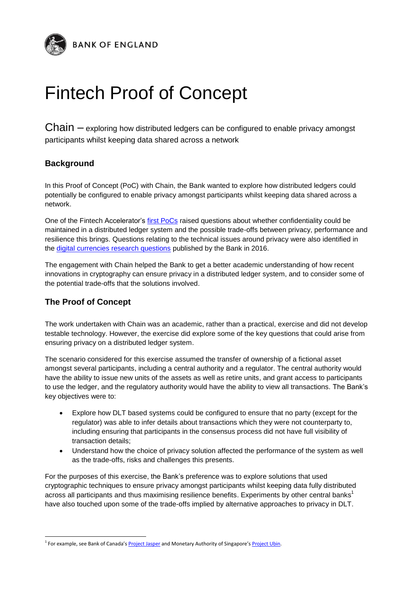

## Fintech Proof of Concept

Chain – exploring how distributed ledgers can be configured to enable privacy amongst participants whilst keeping data shared across a network

## **Background**

In this Proof of Concept (PoC) with Chain, the Bank wanted to explore how distributed ledgers could potentially be configured to enable privacy amongst participants whilst keeping data shared across a network.

One of the Fintech Accelerator's [first PoCs](http://www.bankofengland.co.uk/Documents/fintech/pwcpoc.pdf) raised questions about whether confidentiality could be maintained in a distributed ledger system and the possible trade-offs between privacy, performance and resilience this brings. Questions relating to the technical issues around privacy were also identified in the [digital currencies research questions](http://www.bankofengland.co.uk/research/Documents/onebank/cbdc.pdf) published by the Bank in 2016.

The engagement with Chain helped the Bank to get a better academic understanding of how recent innovations in cryptography can ensure privacy in a distributed ledger system, and to consider some of the potential trade-offs that the solutions involved.

## **The Proof of Concept**

 $\overline{a}$ 

The work undertaken with Chain was an academic, rather than a practical, exercise and did not develop testable technology. However, the exercise did explore some of the key questions that could arise from ensuring privacy on a distributed ledger system.

The scenario considered for this exercise assumed the transfer of ownership of a fictional asset amongst several participants, including a central authority and a regulator. The central authority would have the ability to issue new units of the assets as well as retire units, and grant access to participants to use the ledger, and the regulatory authority would have the ability to view all transactions. The Bank's key objectives were to:

- Explore how DLT based systems could be configured to ensure that no party (except for the regulator) was able to infer details about transactions which they were not counterparty to, including ensuring that participants in the consensus process did not have full visibility of transaction details;
- Understand how the choice of privacy solution affected the performance of the system as well as the trade-offs, risks and challenges this presents.

For the purposes of this exercise, the Bank's preference was to explore solutions that used cryptographic techniques to ensure privacy amongst participants whilst keeping data fully distributed across all participants and thus maximising resilience benefits. Experiments by other central banks<sup>1</sup> have also touched upon some of the trade-offs implied by alternative approaches to privacy in DLT.

<sup>&</sup>lt;sup>1</sup> For example, see Bank of Canada's <u>[Project Jasper](https://www.bankofcanada.ca/wp-content/uploads/2017/05/fsr-june-2017-chapman.pdf)</u> and Monetary Authority of Singapore's <u>Project Ubin</u>.